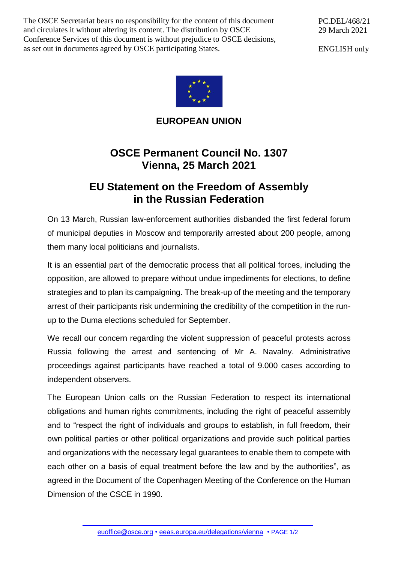The OSCE Secretariat bears no responsibility for the content of this document and circulates it without altering its content. The distribution by OSCE Conference Services of this document is without prejudice to OSCE decisions, as set out in documents agreed by OSCE participating States.

PC.DEL/468/21 29 March 2021

ENGLISH only



**EUROPEAN UNION**

## **OSCE Permanent Council No. 1307 Vienna, 25 March 2021**

## **EU Statement on the Freedom of Assembly in the Russian Federation**

On 13 March, Russian law-enforcement authorities disbanded the first federal forum of municipal deputies in Moscow and temporarily arrested about 200 people, among them many local politicians and journalists.

It is an essential part of the democratic process that all political forces, including the opposition, are allowed to prepare without undue impediments for elections, to define strategies and to plan its campaigning. The break-up of the meeting and the temporary arrest of their participants risk undermining the credibility of the competition in the runup to the Duma elections scheduled for September.

We recall our concern regarding the violent suppression of peaceful protests across Russia following the arrest and sentencing of Mr A. Navalny. Administrative proceedings against participants have reached a total of 9.000 cases according to independent observers.

The European Union calls on the Russian Federation to respect its international obligations and human rights commitments, including the right of peaceful assembly and to "respect the right of individuals and groups to establish, in full freedom, their own political parties or other political organizations and provide such political parties and organizations with the necessary legal guarantees to enable them to compete with each other on a basis of equal treatment before the law and by the authorities", as agreed in the Document of the Copenhagen Meeting of the Conference on the Human Dimension of the CSCE in 1990.